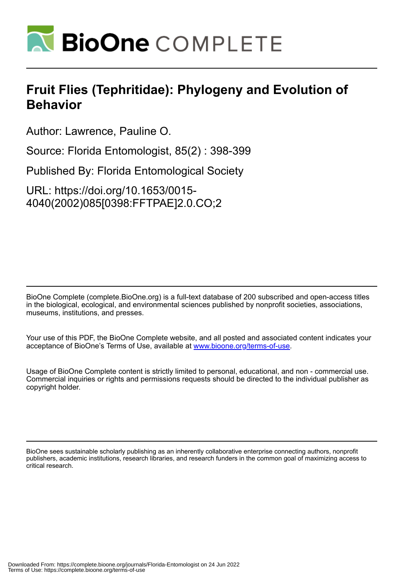

## **Fruit Flies (Tephritidae): Phylogeny and Evolution of Behavior**

Author: Lawrence, Pauline O.

Source: Florida Entomologist, 85(2) : 398-399

Published By: Florida Entomological Society

URL: https://doi.org/10.1653/0015- 4040(2002)085[0398:FFTPAE]2.0.CO;2

BioOne Complete (complete.BioOne.org) is a full-text database of 200 subscribed and open-access titles in the biological, ecological, and environmental sciences published by nonprofit societies, associations, museums, institutions, and presses.

Your use of this PDF, the BioOne Complete website, and all posted and associated content indicates your acceptance of BioOne's Terms of Use, available at www.bioone.org/terms-of-use.

Usage of BioOne Complete content is strictly limited to personal, educational, and non - commercial use. Commercial inquiries or rights and permissions requests should be directed to the individual publisher as copyright holder.

BioOne sees sustainable scholarly publishing as an inherently collaborative enterprise connecting authors, nonprofit publishers, academic institutions, research libraries, and research funders in the common goal of maximizing access to critical research.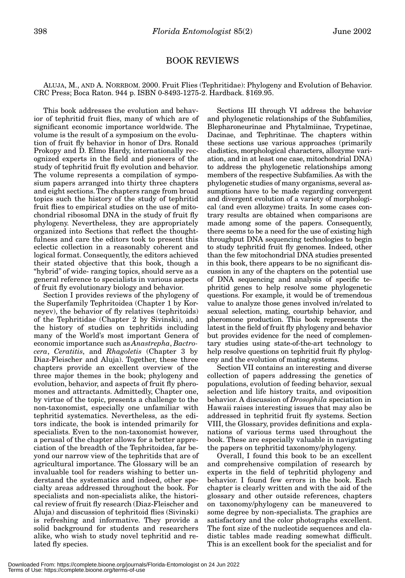## BOOK REVIEWS

ALUJA, M., AND A. NORRBOM. 2000. Fruit Flies (Tephritidae): Phylogeny and Evolution of Behavior. CRC Press; Boca Raton. 944 p. ISBN 0-8493-1275-2. Hardback. \$169.95.

This book addresses the evolution and behavior of tephritid fruit flies, many of which are of significant economic importance worldwide. The volume is the result of a symposium on the evolution of fruit fly behavior in honor of Drs. Ronald Prokopy and D. Elmo Hardy, internationally recognized experts in the field and pioneers of the study of tephritid fruit fly evolution and behavior. The volume represents a compilation of symposium papers arranged into thirty three chapters and eight sections. The chapters range from broad topics such the history of the study of tephritid fruit flies to empirical studies on the use of mitochondrial ribosomal DNA in the study of fruit fly phylogeny. Nevertheless, they are appropriately organized into Sections that reflect the thoughtfulness and care the editors took to present this eclectic collection in a reasonably coherent and logical format. Consequently, the editors achieved their stated objective that this book, though a "hybrid" of wide- ranging topics, should serve as a general reference to specialists in various aspects of fruit fly evolutionary biology and behavior.

Section I provides reviews of the phylogeny of the Superfamily Tephritoidea (Chapter 1 by Korneyev), the behavior of fly relatives (tephritoids) of the Tephritidae (Chapter 2 by Sivinski), and the history of studies on tephritids including many of the World's most important Genera of economic importance such as *Anastrepha*, *Bactrocera*, *Ceratitis*, and *Rhagoletis* (Chapter 3 by Diaz-Fleischer and Aluja). Together, these three chapters provide an excellent overview of the three major themes in the book; phylogeny and evolution, behavior, and aspects of fruit fly pheromones and attractants. Admittedly, Chapter one, by virtue of the topic, presents a challenge to the non-taxonomist, especially one unfamiliar with tephritid systematics. Nevertheless, as the editors indicate, the book is intended primarily for specialists. Even to the non-taxonomist however, a perusal of the chapter allows for a better appreciation of the breadth of the Tephritoidea, far beyond our narrow view of the tephritids that are of agricultural importance. The Glossary will be an invaluable tool for readers wishing to better understand the systematics and indeed, other specialty areas addressed throughout the book. For specialists and non-specialists alike, the historical review of fruit fly research (Diaz-Fleischer and Aluja) and discussion of tephritoid flies (Sivinski) is refreshing and informative. They provide a solid background for students and researchers alike, who wish to study novel tephritid and related fly species.

Sections III through VI address the behavior and phylogenetic relationships of the Subfamilies, Blepharoneurinae and Phytalmiinae, Trypetinae, Dacinae, and Tephritinae. The chapters within these sections use various approaches (primarily cladistics, morphological characters, allozyme variation, and in at least one case, mitochondrial DNA) to address the phylogenetic relationships among members of the respective Subfamilies. As with the phylogenetic studies of many organisms, several assumptions have to be made regarding convergent and divergent evolution of a variety of morphological (and even allozyme) traits. In some cases contrary results are obtained when comparisons are made among some of the papers. Consequently, there seems to be a need for the use of existing high throughput DNA sequencing technologies to begin to study tephritid fruit fly genomes. Indeed, other than the few mitochondrial DNA studies presented in this book, there appears to be no significant discussion in any of the chapters on the potential use of DNA sequencing and analysis of specific tephritid genes to help resolve some phylogenetic questions. For example, it would be of tremendous value to analyze those genes involved in/related to sexual selection, mating, courtship behavior, and pheromone production. This book represents the latest in the field of fruit fly phylogeny and behavior but provides evidence for the need of complementary studies using state-of-the-art technology to help resolve questions on tephritid fruit fly phylogeny and the evolution of mating systems.

Section VII contains an interesting and diverse collection of papers addressing the genetics of populations, evolution of feeding behavior, sexual selection and life history traits, and oviposition behavior. A discussion of *Drosophila* speciation in Hawaii raises interesting issues that may also be addressed in tephritid fruit fly systems. Section VIII, the Glossary, provides definitions and explanations of various terms used throughout the book. These are especially valuable in navigating the papers on tephritid taxonomy/phylogeny.

Overall, I found this book to be an excellent and comprehensive compilation of research by experts in the field of tephritid phylogeny and behavior. I found few errors in the book. Each chapter is clearly written and with the aid of the glossary and other outside references, chapters on taxonomy/phylogeny can be maneuvered to some degree by non-specialists. The graphics are satisfactory and the color photographs excellent. The font size of the nucleotide sequences and cladistic tables made reading somewhat difficult. This is an excellent book for the specialist and for